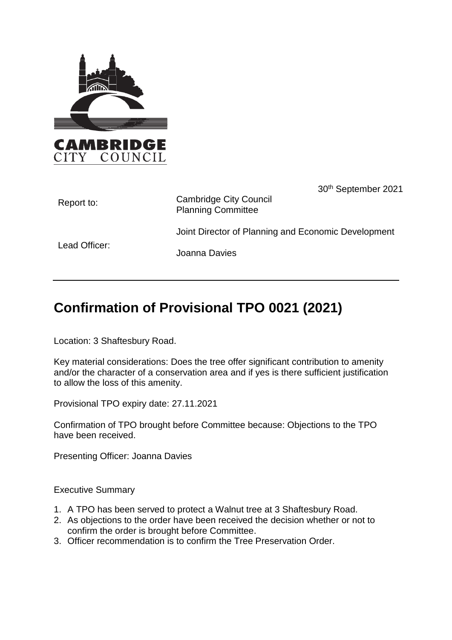



30th September 2021

| Report to:    | <b>Cambridge City Council</b><br><b>Planning Committee</b> |
|---------------|------------------------------------------------------------|
| Lead Officer: | Joint Director of Planning and Economic Development        |
|               | Joanna Davies                                              |

# **Confirmation of Provisional TPO 0021 (2021)**

Location: 3 Shaftesbury Road.

Key material considerations: Does the tree offer significant contribution to amenity and/or the character of a conservation area and if yes is there sufficient justification to allow the loss of this amenity.

Provisional TPO expiry date: 27.11.2021

Confirmation of TPO brought before Committee because: Objections to the TPO have been received.

Presenting Officer: Joanna Davies

Executive Summary

- 1. A TPO has been served to protect a Walnut tree at 3 Shaftesbury Road.
- 2. As objections to the order have been received the decision whether or not to confirm the order is brought before Committee.
- 3. Officer recommendation is to confirm the Tree Preservation Order.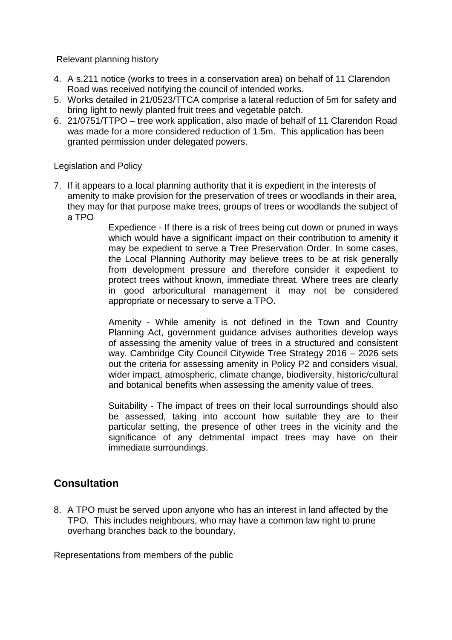Relevant planning history

- 4. A s.211 notice (works to trees in a conservation area) on behalf of 11 Clarendon Road was received notifying the council of intended works.
- 5. Works detailed in 21/0523/TTCA comprise a lateral reduction of 5m for safety and bring light to newly planted fruit trees and vegetable patch.
- 6. 21/0751/TTPO tree work application, also made of behalf of 11 Clarendon Road was made for a more considered reduction of 1.5m. This application has been granted permission under delegated powers.

Legislation and Policy

7. If it appears to a local planning authority that it is expedient in the interests of amenity to make provision for the preservation of trees or woodlands in their area, they may for that purpose make trees, groups of trees or woodlands the subject of a TPO

> Expedience - If there is a risk of trees being cut down or pruned in ways which would have a significant impact on their contribution to amenity it may be expedient to serve a Tree Preservation Order. In some cases, the Local Planning Authority may believe trees to be at risk generally from development pressure and therefore consider it expedient to protect trees without known, immediate threat. Where trees are clearly in good arboricultural management it may not be considered appropriate or necessary to serve a TPO.

> Amenity - While amenity is not defined in the Town and Country Planning Act, government guidance advises authorities develop ways of assessing the amenity value of trees in a structured and consistent way. Cambridge City Council Citywide Tree Strategy 2016 – 2026 sets out the criteria for assessing amenity in Policy P2 and considers visual, wider impact, atmospheric, climate change, biodiversity, historic/cultural and botanical benefits when assessing the amenity value of trees.

> Suitability - The impact of trees on their local surroundings should also be assessed, taking into account how suitable they are to their particular setting, the presence of other trees in the vicinity and the significance of any detrimental impact trees may have on their immediate surroundings.

# **Consultation**

8. A TPO must be served upon anyone who has an interest in land affected by the TPO. This includes neighbours, who may have a common law right to prune overhang branches back to the boundary.

Representations from members of the public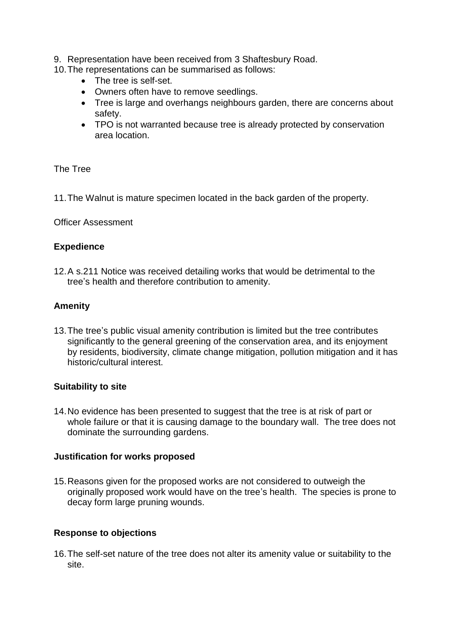- 9. Representation have been received from 3 Shaftesbury Road.
- 10.The representations can be summarised as follows:
	- The tree is self-set.
	- Owners often have to remove seedlings.
	- Tree is large and overhangs neighbours garden, there are concerns about safety.
	- TPO is not warranted because tree is already protected by conservation area location.

#### The Tree

11.The Walnut is mature specimen located in the back garden of the property.

#### Officer Assessment

#### **Expedience**

12.A s.211 Notice was received detailing works that would be detrimental to the tree's health and therefore contribution to amenity.

#### **Amenity**

13.The tree's public visual amenity contribution is limited but the tree contributes significantly to the general greening of the conservation area, and its enjoyment by residents, biodiversity, climate change mitigation, pollution mitigation and it has historic/cultural interest.

# **Suitability to site**

14.No evidence has been presented to suggest that the tree is at risk of part or whole failure or that it is causing damage to the boundary wall. The tree does not dominate the surrounding gardens.

#### **Justification for works proposed**

15.Reasons given for the proposed works are not considered to outweigh the originally proposed work would have on the tree's health. The species is prone to decay form large pruning wounds.

# **Response to objections**

16.The self-set nature of the tree does not alter its amenity value or suitability to the site.